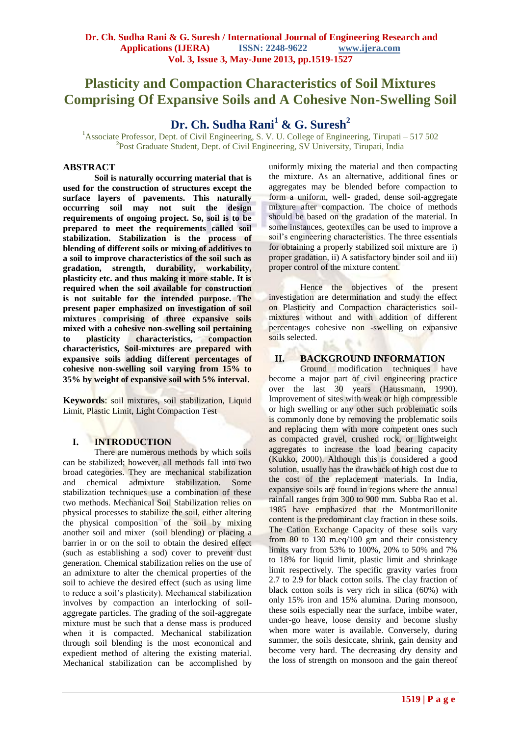## **Plasticity and Compaction Characteristics of Soil Mixtures Comprising Of Expansive Soils and A Cohesive Non-Swelling Soil**

# **Dr. Ch. Sudha Rani<sup>1</sup> & G. Suresh<sup>2</sup>**

<sup>1</sup>Associate Professor, Dept. of Civil Engineering, S. V. U. College of Engineering, Tirupati – 517 502 **2** Post Graduate Student, Dept. of Civil Engineering, SV University, Tirupati, India

## **ABSTRACT**

**Soil is naturally occurring material that is used for the construction of structures except the surface layers of pavements. This naturally occurring soil may not suit the design requirements of ongoing project. So, soil is to be prepared to meet the requirements called soil stabilization. Stabilization is the process of blending of different soils or mixing of additives to a soil to improve characteristics of the soil such as gradation, strength, durability, workability, plasticity etc. and thus making it more stable. It is required when the soil available for construction is not suitable for the intended purpose. The present paper emphasized on investigation of soil mixtures comprising of three expansive soils mixed with a cohesive non-swelling soil pertaining to plasticity characteristics, compaction characteristics, Soil-mixtures are prepared with expansive soils adding different percentages of cohesive non-swelling soil varying from 15% to 35% by weight of expansive soil with 5% interval**.

**Keywords**: soil mixtures, soil stabilization, Liquid Limit, Plastic Limit, Light Compaction Test

## **I. INTRODUCTION**

There are numerous methods by which soils can be stabilized; however, all methods fall into two broad categories. They are mechanical stabilization and chemical admixture stabilization. Some stabilization techniques use a combination of these two methods. Mechanical Soil Stabilization relies on physical processes to stabilize the soil, either altering the physical composition of the soil by mixing another soil and mixer (soil blending) or placing a barrier in or on the soil to obtain the desired effect (such as establishing a sod) cover to prevent dust generation. Chemical stabilization relies on the use of an admixture to alter the chemical properties of the soil to achieve the desired effect (such as using lime to reduce a soil's plasticity). Mechanical stabilization involves by compaction an interlocking of soilaggregate particles. The grading of the soil-aggregate mixture must be such that a dense mass is produced when it is compacted. Mechanical stabilization through soil blending is the most economical and expedient method of altering the existing material. Mechanical stabilization can be accomplished by

uniformly mixing the material and then compacting the mixture. As an alternative, additional fines or aggregates may be blended before compaction to form a uniform, well- graded, dense soil-aggregate mixture after compaction. The choice of methods should be based on the gradation of the material. In some instances, geotextiles can be used to improve a soil's engineering characteristics. The three essentials for obtaining a properly stabilized soil mixture are i) proper gradation, ii) A satisfactory binder soil and iii) proper control of the mixture content.

Hence the objectives of the present investigation are determination and study the effect on Plasticity and Compaction characteristics soilmixtures without and with addition of different percentages cohesive non -swelling on expansive soils selected.

#### **II. BACKGROUND INFORMATION**

Ground modification techniques have become a major part of civil engineering practice over the last 30 years (Haussmann, 1990). Improvement of sites with weak or high compressible or high swelling or any other such problematic soils is commonly done by removing the problematic soils and replacing them with more competent ones such as compacted gravel, crushed rock, or lightweight aggregates to increase the load bearing capacity (Kukko, 2000). Although this is considered a good solution, usually has the drawback of high cost due to the cost of the replacement materials. In India, expansive soils are found in regions where the annual rainfall ranges from 300 to 900 mm. Subba Rao et al. 1985 have emphasized that the Montmorillonite content is the predominant clay fraction in these soils. The Cation Exchange Capacity of these soils vary from 80 to 130 m.eq/100 gm and their consistency limits vary from 53% to 100%, 20% to 50% and 7% to 18% for liquid limit, plastic limit and shrinkage limit respectively. The specific gravity varies from 2.7 to 2.9 for black cotton soils. The clay fraction of black cotton soils is very rich in silica (60%) with only 15% iron and 15% alumina. During monsoon, these soils especially near the surface, imbibe water, under-go heave, loose density and become slushy when more water is available. Conversely, during summer, the soils desiccate, shrink, gain density and become very hard. The decreasing dry density and the loss of strength on monsoon and the gain thereof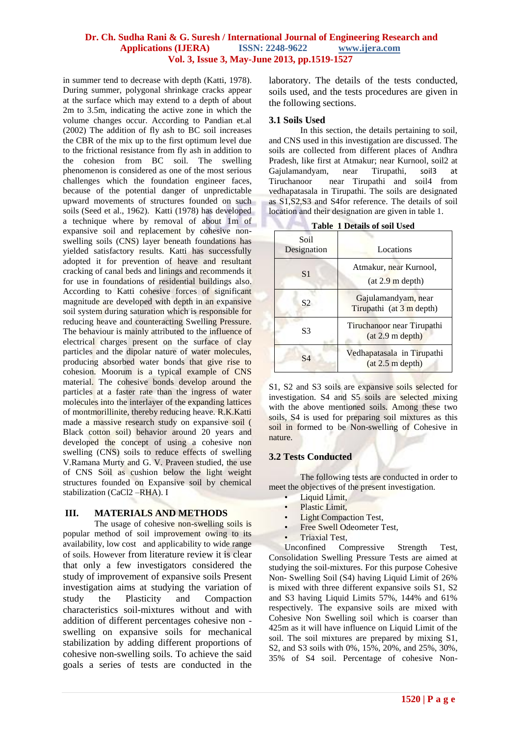in summer tend to decrease with depth (Katti, 1978). During summer, polygonal shrinkage cracks appear at the surface which may extend to a depth of about 2m to 3.5m, indicating the active zone in which the volume changes occur. According to Pandian et.al (2002) The addition of fly ash to BC soil increases the CBR of the mix up to the first optimum level due to the frictional resistance from fly ash in addition to the cohesion from BC soil. The swelling phenomenon is considered as one of the most serious challenges which the foundation engineer faces, because of the potential danger of unpredictable upward movements of structures founded on such soils (Seed et al., 1962). Katti (1978) has developed a technique where by removal of about 1m of expansive soil and replacement by cohesive nonswelling soils (CNS) layer beneath foundations has yielded satisfactory results. Katti has successfully adopted it for prevention of heave and resultant cracking of canal beds and linings and recommends it for use in foundations of residential buildings also. According to Katti cohesive forces of significant magnitude are developed with depth in an expansive soil system during saturation which is responsible for reducing heave and counteracting Swelling Pressure. The behaviour is mainly attributed to the influence of electrical charges present on the surface of clay particles and the dipolar nature of water molecules, producing absorbed water bonds that give rise to cohesion. Moorum is a typical example of CNS material. The cohesive bonds develop around the particles at a faster rate than the ingress of water molecules into the interlayer of the expanding lattices of montmorillinite, thereby reducing heave. R.K.Katti made a massive research study on expansive soil ( Black cotton soil) behavior around 20 years and developed the concept of using a cohesive non swelling (CNS) soils to reduce effects of swelling V.Ramana Murty and G. V. Praveen studied, the use of CNS Soil as cushion below the light weight structures founded on Expansive soil by chemical stabilization (CaCl2 –RHA). I

#### **III. MATERIALS AND METHODS**

The usage of cohesive non-swelling soils is popular method of soil improvement owing to its availability, low cost and applicability to wide range of soils. However from literature review it is clear that only a few investigators considered the study of improvement of expansive soils Present investigation aims at studying the variation of study the Plasticity and Compaction characteristics soil-mixtures without and with addition of different percentages cohesive non swelling on expansive soils for mechanical stabilization by adding different proportions of cohesive non-swelling soils. To achieve the said goals a series of tests are conducted in the

laboratory. The details of the tests conducted, soils used, and the tests procedures are given in the following sections.

#### **3.1 Soils Used**

In this section, the details pertaining to soil, and CNS used in this investigation are discussed. The soils are collected from different places of Andhra Pradesh, like first at Atmakur; near Kurnool, soil2 at Gajulamandyam, near Tirupathi, soil3 at Tiruchanoor near Tirupathi and soil4 from vedhapatasala in Tirupathi. The soils are designated as S1,S2,S3 and S4for reference. The details of soil location and their designation are given in table 1.

|                     | T Detains of son esea                                     |  |  |  |  |
|---------------------|-----------------------------------------------------------|--|--|--|--|
| Soil<br>Designation | Locations                                                 |  |  |  |  |
| S <sub>1</sub>      | Atmakur, near Kurnool,<br>(at 2.9 m depth)                |  |  |  |  |
| S2                  | Gajulamandyam, near<br>Tirupathi (at $3 \text{ m}$ depth) |  |  |  |  |
| S3                  | Tiruchanoor near Tirupathi<br>(at 2.9 m depth)            |  |  |  |  |
| S4                  | Vedhapatasala in Tirupathi<br>(at 2.5 m depth)            |  |  |  |  |

**Table 1 Details of soil Used** 

S1, S2 and S3 soils are expansive soils selected for investigation. S4 and S5 soils are selected mixing with the above mentioned soils. Among these two soils, S4 is used for preparing soil mixtures as this soil in formed to be Non-swelling of Cohesive in nature.

#### **3.2 Tests Conducted**

The following tests are conducted in order to meet the objectives of the present investigation.

- Liquid Limit,
- Plastic Limit,
- Light Compaction Test,
- Free Swell Odeometer Test,
- Triaxial Test,

Unconfined Compressive Strength Test, Consolidation Swelling Pressure Tests are aimed at studying the soil-mixtures. For this purpose Cohesive Non- Swelling Soil (S4) having Liquid Limit of 26% is mixed with three different expansive soils S1, S2 and S3 having Liquid Limits 57%, 144% and 61% respectively. The expansive soils are mixed with Cohesive Non Swelling soil which is coarser than 425m as it will have influence on Liquid Limit of the soil. The soil mixtures are prepared by mixing S1, S2, and S3 soils with 0%, 15%, 20%, and 25%, 30%, 35% of S4 soil. Percentage of cohesive Non-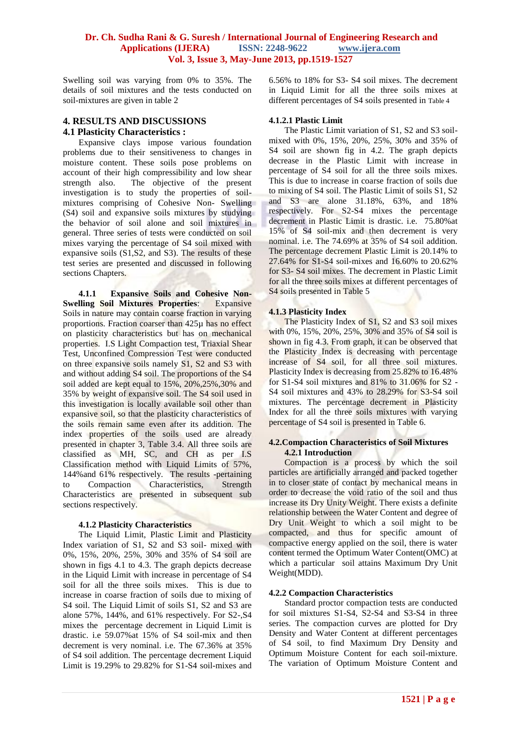Swelling soil was varying from 0% to 35%. The details of soil mixtures and the tests conducted on soil-mixtures are given in table 2

# **4. RESULTS AND DISCUSSIONS**

## **4.1 Plasticity Characteristics :**

Expansive clays impose various foundation problems due to their sensitiveness to changes in moisture content. These soils pose problems on account of their high compressibility and low shear strength also. The objective of the present investigation is to study the properties of soilmixtures comprising of Cohesive Non- Swelling (S4) soil and expansive soils mixtures by studying the behavior of soil alone and soil mixtures in general. Three series of tests were conducted on soil mixes varying the percentage of S4 soil mixed with expansive soils (S1,S2, and S3). The results of these test series are presented and discussed in following sections Chapters.

**4.1.1 Expansive Soils and Cohesive Non-Swelling Soil Mixtures Properties**: Expansive Soils in nature may contain coarse fraction in varying proportions. Fraction coarser than 425µ has no effect on plasticity characteristics but has on mechanical properties. I.S Light Compaction test, Triaxial Shear Test, Unconfined Compression Test were conducted on three expansive soils namely S1, S2 and S3 with and without adding S4 soil. The proportions of the S4 soil added are kept equal to 15%, 20%,25%,30% and 35% by weight of expansive soil. The S4 soil used in this investigation is locally available soil other than expansive soil, so that the plasticity characteristics of the soils remain same even after its addition. The index properties of the soils used are already presented in chapter 3, Table 3.4. All three soils are classified as MH, SC, and CH as per I.S Classification method with Liquid Limits of 57%, 144% and 61% respectively. The results -pertaining<br>to Compaction Characteristics, Strength to Compaction Characteristics, Strength Characteristics are presented in subsequent sub sections respectively.

#### **4.1.2 Plasticity Characteristics**

The Liquid Limit, Plastic Limit and Plasticity Index variation of S1, S2 and S3 soil- mixed with 0%, 15%, 20%, 25%, 30% and 35% of S4 soil are shown in figs 4.1 to 4.3. The graph depicts decrease in the Liquid Limit with increase in percentage of S4 soil for all the three soils mixes. This is due to increase in coarse fraction of soils due to mixing of S4 soil. The Liquid Limit of soils S1, S2 and S3 are alone 57%, 144%, and 61% respectively. For S2-,S4 mixes the percentage decrement in Liquid Limit is drastic. i.e 59.07%at 15% of S4 soil-mix and then decrement is very nominal. i.e. The 67.36% at 35% of S4 soil addition. The percentage decrement Liquid Limit is 19.29% to 29.82% for S1-S4 soil-mixes and

6.56% to 18% for S3- S4 soil mixes. The decrement in Liquid Limit for all the three soils mixes at different percentages of S4 soils presented in Table 4

#### **4.1.2.1 Plastic Limit**

The Plastic Limit variation of S1, S2 and S3 soilmixed with 0%, 15%, 20%, 25%, 30% and 35% of S4 soil are shown fig in 4.2. The graph depicts decrease in the Plastic Limit with increase in percentage of S4 soil for all the three soils mixes. This is due to increase in coarse fraction of soils due to mixing of S4 soil. The Plastic Limit of soils S1, S2 and S3 are alone 31.18%, 63%, and 18% respectively. For S2-S4 mixes the percentage decrement in Plastic Limit is drastic. i.e. 75.80%at 15% of S4 soil-mix and then decrement is very nominal. i.e. The 74.69% at 35% of S4 soil addition. The percentage decrement Plastic Limit is 20.14% to 27.64% for S1-S4 soil-mixes and 16.60% to 20.62% for S3- S4 soil mixes. The decrement in Plastic Limit for all the three soils mixes at different percentages of S4 soils presented in Table 5

#### **4.1.3 Plasticity Index**

The Plasticity Index of S1, S2 and S3 soil mixes with 0%, 15%, 20%, 25%, 30% and 35% of S4 soil is shown in fig 4.3. From graph, it can be observed that the Plasticity Index is decreasing with percentage increase of S4 soil, for all three soil mixtures. Plasticity Index is decreasing from 25.82% to 16.48% for S1-S4 soil mixtures and 81% to 31.06% for S2 - S4 soil mixtures and 43% to 28.29% for S3-S4 soil mixtures. The percentage decrement in Plasticity Index for all the three soils mixtures with varying percentage of S4 soil is presented in Table 6.

#### **4.2.Compaction Characteristics of Soil Mixtures 4.2.1 Introduction**

Compaction is a process by which the soil particles are artificially arranged and packed together in to closer state of contact by mechanical means in order to decrease the void ratio of the soil and thus increase its Dry Unity Weight. There exists a definite relationship between the Water Content and degree of Dry Unit Weight to which a soil might to be compacted, and thus for specific amount of compactive energy applied on the soil, there is water content termed the Optimum Water Content(OMC) at which a particular soil attains Maximum Dry Unit Weight(MDD).

#### **4.2.2 Compaction Characteristics**

Standard proctor compaction tests are conducted for soil mixtures S1-S4, S2-S4 and S3-S4 in three series. The compaction curves are plotted for Dry Density and Water Content at different percentages of S4 soil, to find Maximum Dry Density and Optimum Moisture Content for each soil-mixture. The variation of Optimum Moisture Content and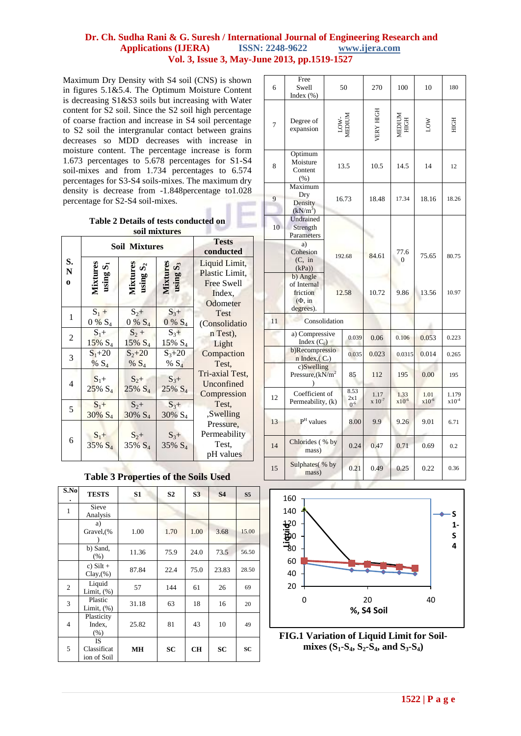Maximum Dry Density with S4 soil (CNS) is shown in figures 5.1&5.4. The Optimum Moisture Content is decreasing S1&S3 soils but increasing with Water content for S2 soil. Since the S2 soil high percentage of coarse fraction and increase in S4 soil percentage to S2 soil the intergranular contact between grains decreases so MDD decreases with increase in moisture content. The percentage increase is form 1.673 percentages to 5.678 percentages for S1-S4 soil-mixes and from 1.734 percentages to 6.574 percentages for S3-S4 soils-mixes. The maximum dry density is decrease from -1.848percentage to1.028 percentage for S2-S4 soil-mixes.

> **Table 2 Details of tests conducted on soil mixtures**

|                         |                               | <b>Soil Mixtures</b>                   | <b>Tests</b><br>conducted    |                                                                     |
|-------------------------|-------------------------------|----------------------------------------|------------------------------|---------------------------------------------------------------------|
| S.<br>N<br>$\mathbf{o}$ | Mixture<br>vδ<br>using'       | using S <sub>2</sub><br><b>Mixture</b> | တိ<br>using                  | Liquid Limit,<br>Plastic Limit.<br>Free Swell<br>Index.<br>Odometer |
| 1                       | $S_1 +$                       | $S_{2+}$                               | $S_{3+}$                     | <b>Test</b>                                                         |
|                         | $0\% S_4$                     | $0\% S_4$                              | $0\% S_4$                    | (Consolidatio                                                       |
| 2                       | $S_1 +$                       | $S_2 +$                                | $S_3+$                       | n Test).                                                            |
|                         | $15\% S_4$                    | $15\% S_4$                             | $15\% S_4$                   | Light                                                               |
| 3                       | $S_1 + 20$                    | $S_{2}+20$                             | $S_{3+}20$                   | Compaction                                                          |
|                         | $% S_4$                       | % $S_4$                                | % $S_4$                      | Test.                                                               |
| 4                       | $S_1+$<br>$25\% S_4$          | $S_2+$<br>$25\% S_4$                   | $S_3+$<br>$25\% S_4$         | Tri-axial Test.<br>Unconfined<br>Compression                        |
| 5                       | $S_1+$                        | $S_{2+}$                               | $S_{3+}$                     | Test.                                                               |
|                         | 30% S <sub>4</sub>            | 30% S <sub>4</sub>                     | 30% S <sub>4</sub>           | ,Swelling                                                           |
| 6                       | $S_1 +$<br>35% S <sub>4</sub> | $S_2+$<br>$35\% S_4$                   | $S_3+$<br>35% S <sub>4</sub> | Pressure,<br>Permeability<br>Test,<br>pH values                     |

**Table 3 Properties of the Soils Used** 

| S.No           | <b>TESTS</b>                            | S1        | S <sub>2</sub> | S <sub>3</sub> | <b>S4</b> | S <sub>5</sub> |
|----------------|-----------------------------------------|-----------|----------------|----------------|-----------|----------------|
| 1              | Sieve<br>Analysis                       |           |                |                |           |                |
|                | a)<br>Gravel, (%                        | 1.00      | 1.70           | 1.00           | 3.68      | 15.00          |
|                | b) Sand,<br>(% )                        | 11.36     | 75.9           | 24.0           | 73.5      | 56.50          |
|                | c) $Silt +$<br>Clay(%)                  | 87.84     | 22.4           | 75.0           | 23.83     | 28.50          |
| $\overline{c}$ | Liquid<br>Limit, $(\%)$                 | 57        | 144            | 61             | 26        | 69             |
| 3              | Plastic<br>Limit, $(\%)$                | 31.18     | 63             | 18             | 16        | 20             |
| 4              | Plasticity<br>Index,<br>(% )            | 25.82     | 81             | 43             | 10        | 49             |
| 5              | <b>IS</b><br>Classificat<br>ion of Soil | <b>MH</b> | SC             | <b>CH</b>      | SC        | SC             |

| 6  | Free<br>Swell<br>Index $(\% )$                                          |      | 50                      | 270                 | 100                | 10                 | 180                 |  |
|----|-------------------------------------------------------------------------|------|-------------------------|---------------------|--------------------|--------------------|---------------------|--|
| 7  | Degree of<br>expansion                                                  |      | LOW-<br>MEDIUM          | <b>VERY HIGH</b>    | MEDIUM<br>HIGH     | ЮU                 | HIGH                |  |
| 8  | Optimum<br>Moisture<br>Content<br>(% )                                  |      | 13.5                    | 10.5                | 14.5               | 14                 | 12                  |  |
| 9  | Maximum<br>Dry<br>Density<br>$(kN/m^3)$                                 |      | 16.73                   | 18.48               | 17.34              | 18.16              | 18.26               |  |
| 10 | Undrained<br>Strength<br>Parameters                                     |      |                         |                     |                    |                    |                     |  |
|    | a)<br>Cohesion<br>(C, in<br>(kPa)                                       |      | 192.68                  | 84.61               | 77.6<br>$\Omega$   | 75.65              | 80.75               |  |
|    | b) Angle<br>of Internal<br>friction<br>$(\Phi, \text{in})$<br>degrees). |      | 12.58                   | 10.72               | 9.86               | 13.56              | 10.97               |  |
| 11 | Consolidation                                                           |      |                         |                     |                    |                    |                     |  |
|    | a) Compressive<br>Index $(C_c)$                                         |      | 0.039                   | 0.06                | 0.106              | 0.053              | 0.223               |  |
|    | b)Recompressio<br>n Index, $(C_r)$                                      |      | 0.035                   | 0.023               | 0.0315             | 0.014              | 0.265               |  |
|    | c)Swelling<br>Pressure, $(kN/m^2)$                                      |      | 85                      | 112                 | 195                | 0.00               | 195                 |  |
| 12 | Coefficient of<br>Permeability, (k)                                     |      | 8.53<br>2x1<br>$0^{-6}$ | 1.17<br>$x 10^{-7}$ | 1.33<br>$x10^{-6}$ | 1.01<br>$x10^{-6}$ | 1.179<br>$x10^{-4}$ |  |
| 13 | $\textbf{P}^\text{H}$ values                                            |      | 8.00                    | 9.9                 | 9.26               | 9.01               | 6.71                |  |
| 14 | Chlorides (% by<br>mass)                                                | 0.24 | 0.47                    | 0.71                | 0.69               | 0.2                |                     |  |
| 15 | Sulphates(% by<br>mass)                                                 |      | 0.21                    | 0.49                | 0.25               | 0.22               | 0.36                |  |



**FIG.1 Variation of Liquid Limit for Soilmixes (S1-S4, S2-S4, and S3-S4)**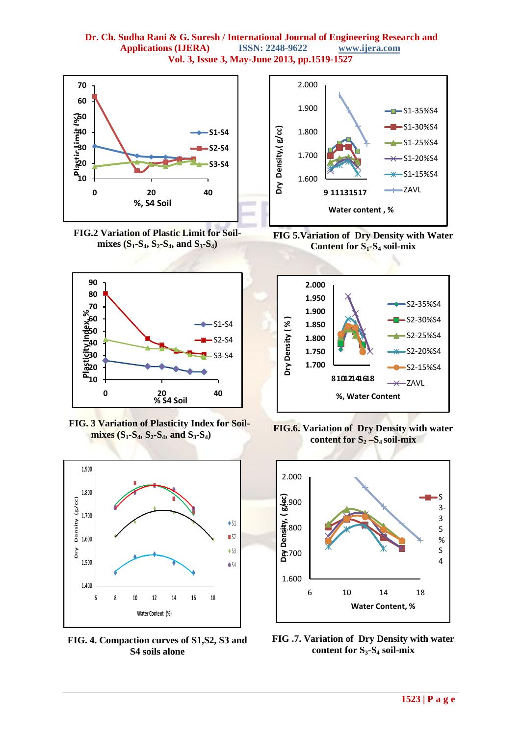

**FIG.2 Variation of Plastic Limit for Soilmixes (S1-S4, S2-S4, and S3-S4)**



 **FIG. 3 Variation of Plasticity Index for Soilmixes (S1-S4, S2-S4, and S3-S4)**



**FIG. 4. Compaction curves of S1,S2, S3 and S4 soils alone**



**FIG 5.Variation of Dry Density with Water Content for S1-S<sup>4</sup> soil-mix**



**FIG.6. Variation of Dry Density with water content for S<sup>2</sup> –S4 soil-mix**



**FIG .7. Variation of Dry Density with water content for S3-S<sup>4</sup> soil-mix**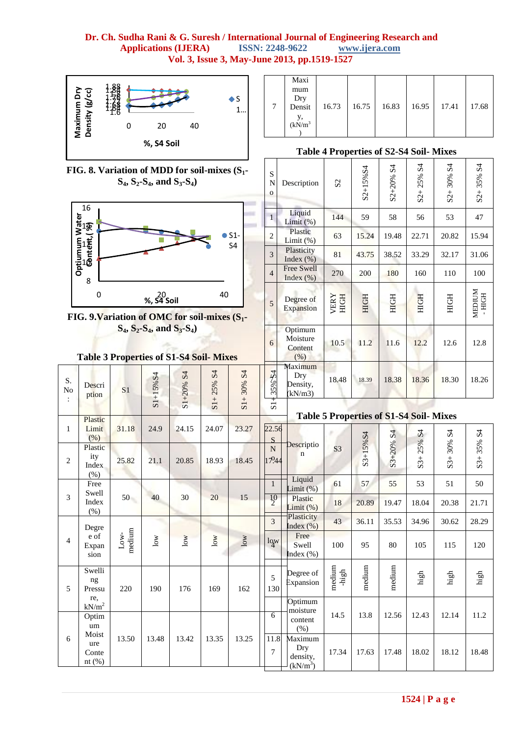#### **Dr. Ch. Sudha Rani & G. Suresh / International Journal of Engineering Research and Applications (IJERA)** ISSN: 2248-9622 www.ijera.com **Applications (IJERA) ISSN: 2248-9622 www.ijera.com Vol. 3, Issue 3, May-June 2013, pp.1519-1527**

S N o

1

2

Description

**Liquid** 

Plastic

S2



|   | Maxi          |       |               |       |       |       |
|---|---------------|-------|---------------|-------|-------|-------|
|   | mum           |       |               |       |       |       |
|   |               |       |               |       |       |       |
| 7 | Dry<br>Densit | 16.73 | $16.75$ 16.83 | 16.95 | 17.41 | 17.68 |
|   | $(kN/m^3)$    |       |               |       |       |       |

## **Table 4 Properties of S2-S4 Soil- Mixes**

S2+15%S4

S2+20% S4

Liquid  $\begin{array}{|c|c|c|c|c|c|} \hline \text{Liquid} & 144 & 59 & 58 & 56 & 53 & 47 \ \hline \end{array}$ 

Plastic  $\begin{array}{|c|c|c|c|c|c|c|} \hline \text{Planck (23)} & \text{63} & 15.24 & 19.48 & 22.71 & 20.82 & 15.94 \hline \end{array}$ 

S2+ 25% S4

S2+ 30% S4

S2+ 35% S4

**FIG. 8. Variation of MDD for soil-mixes (S1- S4, S2-S4, and S3-S4)**





#### $Table$

S. No :

1

2

3

4

5

6

| $\frac{1}{2}$                           |                                                                                      |               |                                        |               | ⊬ت             | 3                       | Plasticity<br>Index $(\%)$                         | 81                       | 43.75      | 38.52       | 33.29          | 32.17         | 31.06            |
|-----------------------------------------|--------------------------------------------------------------------------------------|---------------|----------------------------------------|---------------|----------------|-------------------------|----------------------------------------------------|--------------------------|------------|-------------|----------------|---------------|------------------|
| 8                                       |                                                                                      |               |                                        |               |                | $\overline{4}$          | Free Swell<br>Index $(\%)$                         | 270                      | 200        | 180         | 160            | 110           | 100              |
| $\mathbf 0$                             | 40<br>%, $54^{\circ}$ Soil<br>. 9. Variation of OMC for soil-mixes (S <sub>1</sub> - |               |                                        |               |                |                         |                                                    | <b>VERY</b><br>HIGH      | HOH        | <b>HIGH</b> | <b>HOH</b>     | <b>HIGH</b>   | MEDIUM<br>- HIGH |
|                                         | $S_4$ , $S_2-S_4$ , and $S_3-S_4$ )<br>able 3 Properties of S1-S4 Soil-Mixes         | 6             | Optimum<br>Moisture<br>Content<br>(% ) | 10.5          | 11.2           | 11.6                    | 12.2                                               | 12.6                     | 12.8       |             |                |               |                  |
| Descri<br>ption                         | S <sub>1</sub>                                                                       | $S1 + 15% S4$ | $S1+20%S4$                             | $S1 + 25% S4$ | $S1 + 30\% S4$ | 35% <sup>S4</sup>       | Maximum<br>Dry<br>Density,<br>(kN/m3)              | 18.48                    | 18.39      | 18.38       | 18.36          | 18.30         | 18.26            |
| Plastic                                 |                                                                                      |               |                                        |               |                | $S_{1+}$                | <b>Table 5 Properties of S1-S4 Soil-Mixes</b>      |                          |            |             |                |               |                  |
| Limit<br>(%)                            | 31.18                                                                                | 24.9          | 24.15                                  | 24.07         | 23.27          | 22.56<br>$\mathbf S$    |                                                    |                          |            |             |                |               |                  |
| Plastic<br>ity<br>Index                 | 25.82                                                                                | 21.1          | 20.85                                  | 18.93         | 18.45          | $\overline{N}$<br>17944 | Descriptio<br>$\mathbf n$                          | S <sub>3</sub>           | $S3+15%S4$ | S3+20% S4   | $S3 + 25\% S4$ | $S3 + 30% S4$ | $S3 + 35\% S4$   |
| (% )<br>Free<br>Swell                   |                                                                                      |               |                                        |               |                | $\mathbf{1}$            | Liquid<br>Limit $(\%)$                             | 61                       | 57         | 55          | 53             | 51            | 50               |
| Index<br>(% )                           | 50                                                                                   | 40            | 30                                     | 20            | 15             | $\frac{10}{2}$          | Plastic<br>Limit $(\%)$                            | 18                       | 20.89      | 19.47       | 18.04          | 20.38         | 21.71            |
| Degre                                   |                                                                                      |               |                                        |               |                | $\overline{3}$          | Plasticity<br>Index $(\% )$                        | 43                       | 36.11      | 35.53       | 34.96          | 30.62         | 28.29            |
| e of<br>Expan<br>sion                   | medium<br>$_{\rm Low-}$                                                              | $_{\rm low}$  | low                                    | $\log$        | low            | lgw                     | Free<br>Swell<br>Index $(\%)$                      | 100                      | 95         | 80          | 105            | 115           | 120              |
| Swelli<br>ng<br>Pressu                  | 220                                                                                  | 190           | 176                                    | 169           | 162            | 5<br>130                | Degree of<br>Expansion                             | medium<br>$-\hbox{high}$ | medium     | medium      | high           | high          | $_{\rm high}$    |
| re,<br>kN/m <sup>2</sup><br>Optim<br>um |                                                                                      |               |                                        |               |                | 6                       | Optimum<br>moisture<br>content<br>(% )             | 14.5                     | 13.8       | 12.56       | 12.43          | 12.14         | 11.2             |
| Moist<br>ure<br>Conte<br>$nt$ (%)       | 13.50                                                                                | 13.48         | 13.42                                  | 13.35         | 13.25          | 11.8<br>7               | Maximum<br>Dry<br>density,<br>(kN/m <sup>3</sup> ) | 17.34                    | 17.63      | 17.48       | 18.02          | 18.12         | 18.48            |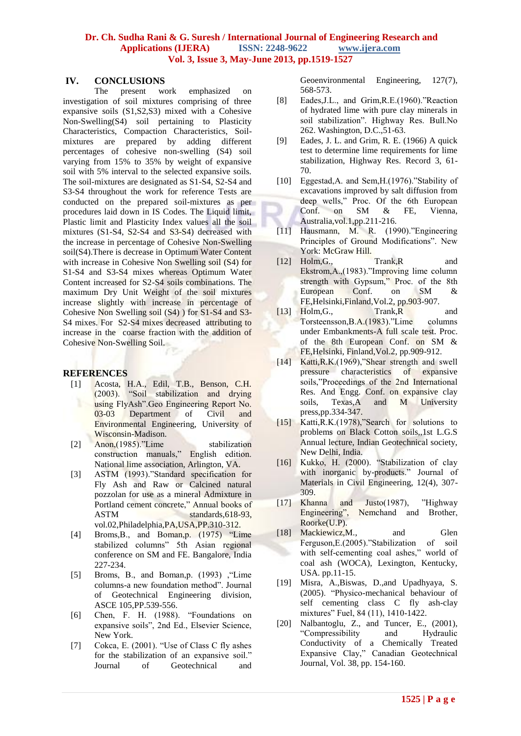#### **IV. CONCLUSIONS**

The present work emphasized on investigation of soil mixtures comprising of three expansive soils (S1,S2,S3) mixed with a Cohesive Non-Swelling(S4) soil pertaining to Plasticity Characteristics, Compaction Characteristics, Soilmixtures are prepared by adding different percentages of cohesive non-swelling (S4) soil varying from 15% to 35% by weight of expansive soil with 5% interval to the selected expansive soils. The soil-mixtures are designated as S1-S4, S2-S4 and S3-S4 throughout the work for reference Tests are conducted on the prepared soil-mixtures as per procedures laid down in IS Codes. The Liquid limit, Plastic limit and Plasticity Index values all the soil mixtures (S1-S4, S2-S4 and S3-S4) decreased with the increase in percentage of Cohesive Non-Swelling soil(S4).There is decrease in Optimum Water Content with increase in Cohesive Non Swelling soil (S4) for S1-S4 and S3-S4 mixes whereas Optimum Water Content increased for S2-S4 soils combinations. The maximum Dry Unit Weight of the soil mixtures increase slightly with increase in percentage of Cohesive Non Swelling soil (S4) ) for S1-S4 and S3- S4 mixes. For S2-S4 mixes decreased attributing to increase in the coarse fraction with the addition of Cohesive Non-Swelling Soil.

#### **REFERENCES**

- [1] Acosta, H.A., Edil, T.B., Benson, C.H. (2003). "Soil stabilization and drying using FlyAsh".Geo Engineering Report No. 03-03 Department of Civil and Environmental Engineering, University of Wisconsin-Madison.
- [2] Anon,(1985)."Lime stabilization construction manuals," English edition. National lime association, Arlington, VA.
- [3] ASTM (1993)."Standard specification for Fly Ash and Raw or Calcined natural pozzolan for use as a mineral Admixture in Portland cement concrete," Annual books of ASTM standards, 618-93, vol.02,Philadelphia,PA,USA,PP.310-312.
- [4] Broms,B., and Boman,p. (1975) "Lime stabilized columns" 5th Asian regional conference on SM and FE. Bangalore, India 227-234.
- [5] Broms, B., and Boman,p. (1993) ,"Lime columns-a new foundation method". Journal of Geotechnical Engineering division, ASCE 105,PP.539-556.
- [6] Chen, F. H. (1988). "Foundations on expansive soils", 2nd Ed., Elsevier Science, New York.
- [7] Cokca, E. (2001). "Use of Class C fly ashes for the stabilization of an expansive soil." Journal of Geotechnical and

Geoenvironmental Engineering, 127(7), 568-573.

- [8] Eades,J.L., and Grim,R.E.(1960)."Reaction of hydrated lime with pure clay minerals in soil stabilization". Highway Res. Bull.No 262. Washington, D.C.,51-63.
- [9] Eades, J. L. and Grim, R. E. (1966) A quick test to determine lime requirements for lime stabilization, Highway Res. Record 3, 61- 70.
- [10] Eggestad, A. and Sem, H. (1976). "Stability of excavations improved by salt diffusion from deep wells," Proc. Of the 6th European Conf. on SM & FE, Vienna, Australia,vol.1,pp.211-216.
- [11] Hausmann, M. R. (1990)."Engineering Principles of Ground Modifications". New York: McGraw Hill.
- [12] Holm, G., Trank, R and Ekstrom,A.,(1983)."Improving lime column strength with Gypsum," Proc. of the 8th European Conf. on SM & FE,Helsinki,Finland,Vol.2, pp.903-907.
- [13] Holm, G., Trank, R and Torsteensson,B.A.(1983)."Lime columns under Embankments-A full scale test. Proc. of the 8th European Conf. on SM & FE,Helsinki, Finland,Vol.2, pp.909-912.
- [14] Katti, R.K. (1969), "Shear strength and swell pressure characteristics of expansive soils,"Proceedings of the 2nd International Res. And Engg. Conf. on expansive clay soils, Texas,A and M University press,pp.334-347.
- [15] Katti, R.K. (1978), "Search for solutions to problems on Black Cotton soils,,1st L.G.S Annual lecture, Indian Geotechnical society, New Delhi, India.
- [16] Kukko, H. (2000). "Stabilization of clay with inorganic by-products." Journal of Materials in Civil Engineering, 12(4), 307- 309.
- [17] Khanna and Justo(1987), "Highway Engineering", Nemchand and Brother, Roorke(U.P).
- [18] Mackiewicz, M., and Glen Ferguson,E.(2005)."Stabilization of soil with self-cementing coal ashes," world of coal ash (WOCA), Lexington, Kentucky, USA. pp.11-15.
- [19] Misra, A.,Biswas, D.,and Upadhyaya, S. (2005). "Physico-mechanical behaviour of self cementing class C fly ash-clay mixtures" Fuel, 84 (11), 1410-1422.
- [20] Nalbantoglu, Z., and Tuncer, E., (2001), "Compressibility and Hydraulic Conductivity of a Chemically Treated Expansive Clay," Canadian Geotechnical Journal, Vol. 38, pp. 154-160.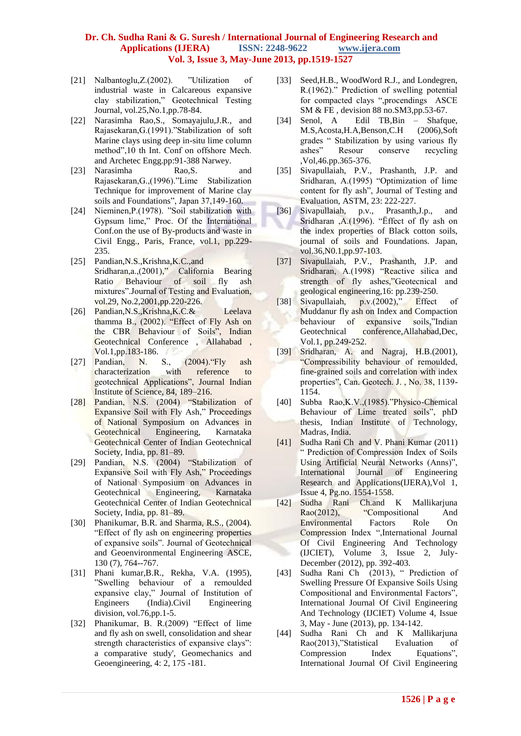- [21] Nalbantoglu,Z.(2002). "Utilization of industrial waste in Calcareous expansive clay stabilization," Geotechnical Testing Journal, vol.25,No.1,pp.78-84.
- [22] Narasimha Rao, S., Somayajulu, J.R., and Rajasekaran,G.(1991)."Stabilization of soft Marine clays using deep in-situ lime column method",10 th Int. Conf on offshore Mech. and Archetec Engg.pp:91-388 Narwey.
- [23] Narasimha Rao, S. and Rajasekaran,G.,(1996)."Lime Stabilization Technique for improvement of Marine clay soils and Foundations", Japan 37,149-160.
- [24] Nieminen,P.(1978). "Soil stabilization with Gypsum lime," Proc. Of the International Conf.on the use of By-products and waste in Civil Engg., Paris, France, vol.1, pp.229- 235.
- [25] Pandian, N.S., Krishna, K.C., and Sridharan,a.,(2001)," California Bearing Ratio Behaviour of soil fly ash mixtures".Journal of Testing and Evaluation, vol.29, No.2,2001,pp.220-226.
- [26] Pandian,N.S.,Krishna,K.C.& Leelava thamma B., (2002). "Effect of Fly Ash on the CBR Behaviour of Soils", Indian Geotechnical Conference , Allahabad , Vol.1,pp.183-186.
- [27] Pandian, N. S., (2004)."Fly ash characterization with reference to geotechnical Applications", Journal Indian Institute of Science, 84, 189–216.
- [28] Pandian, N.S. (2004) "Stabilization of Expansive Soil with Fly Ash," Proceedings of National Symposium on Advances in Geotechnical Engineering, Karnataka Geotechnical Center of Indian Geotechnical Society, India, pp. 81–89.
- [29] Pandian, N.S. (2004) "Stabilization of Expansive Soil with Fly Ash," Proceedings of National Symposium on Advances in Geotechnical Engineering, Karnataka Geotechnical Center of Indian Geotechnical Society, India, pp. 81–89.
- [30] Phanikumar, B.R. and Sharma, R.S., (2004). "Effect of fly ash on engineering properties of expansive soils". Journal of Geotechnical and Geoenvironmental Engineering ASCE, 130 (7), 764--767.
- [31] Phani kumar, B.R., Rekha, V.A. (1995), "Swelling behaviour of a remoulded expansive clay," Journal of Institution of Engineers (India).Civil Engineering division, vol.76,pp.1-5.
- [32] Phanikumar, B. R.(2009) "Effect of lime and fly ash on swell, consolidation and shear strength characteristics of expansive clays": a comparative study', Geomechanics and Geoengineering, 4: 2, 175 -181.
- [33] Seed, H.B., WoodWord R.J., and Londegren, R.(1962)." Prediction of swelling potential for compacted clays ",procendings ASCE SM & FE , devision 88 no.SM3,pp.53-67.
- [34] Senol, A Edil TB,Bin Shafque, M.S,Acosta,H.A,Benson,C.H (2006),Soft grades " Stabilization by using various fly ashes" Resour conserve recycling ,Vol,46.pp.365-376.
- [35] Sivapullaiah, P.V., Prashanth, J.P. and Sridharan, A.(1995) "Optimization of lime content for fly ash", Journal of Testing and Evaluation, ASTM, 23: 222-227.
- [36] Sivapullaiah, p.v., Prasanth,J.p., and Sridharan ,A.(1996). "Ëffect of fly ash on the index properties of Black cotton soils, journal of soils and Foundations. Japan, vol.36,N0.1,pp.97-103.
- [37] Sivapullaiah, P.V., Prashanth, J.P. and Sridharan, A.(1998) "Reactive silica and strength of fly ashes,"Geotecnical and geological engineering,16: pp.239-250.
- [38] Sivapullaiah, p.v.(2002)," Effect of Muddanur fly ash on Index and Compaction behaviour of expansive soils,"Indian Geotechnical conference,Allahabad,Dec, Vol.1, pp.249-252.
- [39] Sridharan, A. and Nagraj, H.B.(2001), "Compressibility behaviour of remoulded, fine-grained soils and correlation with index properties", Can. Geotech. J. , No. 38, 1139- 1154.
- [40] Subba Rao,K.V.,(1985)."Physico-Chemical Behaviour of Lime treated soils", phD thesis, Indian Institute of Technology, Madras, India.
- [41] Sudha Rani Ch and V. Phani Kumar (2011) " Prediction of Compression Index of Soils Using Artificial Neural Networks (Anns)", International Journal of Engineering Research and Applications(IJERA),Vol 1, Issue 4, Pg.no. 1554-1558.
- [42] Sudha Rani Ch.and K Mallikarjuna Rao(2012), "Compositional And Environmental Factors Role On Compression Index ",International Journal Of Civil Engineering And Technology (IJCIET), Volume 3, Issue 2, July-December (2012), pp. 392-403.
- [43] Sudha Rani Ch (2013), " Prediction of Swelling Pressure Of Expansive Soils Using Compositional and Environmental Factors", International Journal Of Civil Engineering And Technology (IJCIET) Volume 4, Issue 3, May - June (2013), pp. 134-142.
- [44] Sudha Rani Ch and K Mallikarjuna Rao(2013),"Statistical Evaluation of Compression Index Equations", International Journal Of Civil Engineering